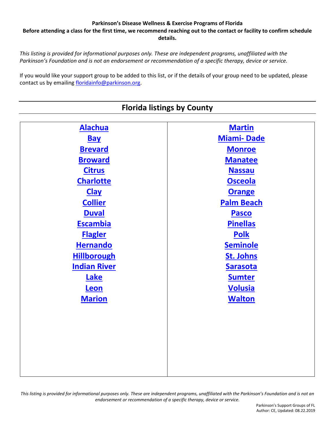**Before attending a class for the first time, we recommend reaching out to the contact or facility to confirm schedule details.**

<span id="page-0-0"></span>*This listing is provided for informational purposes only. These are independent programs, unaffiliated with the Parkinson's Foundation and is not an endorsement or recommendation of a specific therapy, device or service.*

If you would like your support group to be added to this list, or if the details of your group need to be updated, please contact us by emailing [floridainfo@parkinson.org.](mailto:floridainfo@parkinson.org)

| <b>Florida listings by County</b> |                   |
|-----------------------------------|-------------------|
|                                   |                   |
| <b>Alachua</b>                    | <b>Martin</b>     |
| <b>Bay</b>                        | <b>Miami-Dade</b> |
| <b>Brevard</b>                    | <b>Monroe</b>     |
| <b>Broward</b>                    | <b>Manatee</b>    |
| <b>Citrus</b>                     | <b>Nassau</b>     |
| <b>Charlotte</b>                  | <b>Osceola</b>    |
| <b>Clay</b>                       | <b>Orange</b>     |
| <b>Collier</b>                    | <b>Palm Beach</b> |
| <b>Duval</b>                      | <b>Pasco</b>      |
| <b>Escambia</b>                   | <b>Pinellas</b>   |
| <b>Flagler</b>                    | <b>Polk</b>       |
| <b>Hernando</b>                   | <b>Seminole</b>   |
| <b>Hillborough</b>                | <b>St. Johns</b>  |
| <b>Indian River</b>               | <b>Sarasota</b>   |
| Lake                              | <b>Sumter</b>     |
| Leon                              | <b>Volusia</b>    |
| <b>Marion</b>                     | <b>Walton</b>     |
|                                   |                   |
|                                   |                   |
|                                   |                   |
|                                   |                   |
|                                   |                   |
|                                   |                   |
|                                   |                   |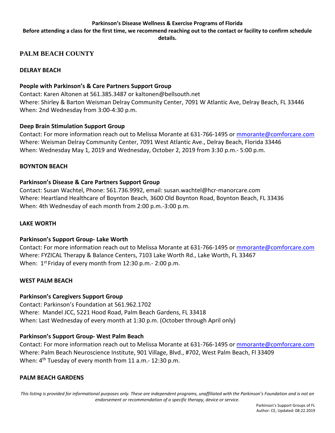**Before attending a class for the first time, we recommend reaching out to the contact or facility to confirm schedule details.**

## <span id="page-1-0"></span>**PALM BEACH COUNTY**

#### **DELRAY BEACH**

#### **People with Parkinson's & Care Partners Support Group**

Contact: Karen Altonen at 561.385.3487 or kaltonen@bellsouth.net Where: Shirley & Barton Weisman Delray Community Center, 7091 W Atlantic Ave, Delray Beach, FL 33446 When: 2nd Wednesday from 3:00-4:30 p.m.

#### **Deep Brain Stimulation Support Group**

Contact: For more information reach out to Melissa Morante at 631-766-1495 or [mmorante@comforcare.com](mailto:mmorante@comforcare.com) Where: Weisman Delray Community Center, 7091 West Atlantic Ave., Delray Beach, Florida 33446 When: Wednesday May 1, 2019 and Wednesday, October 2, 2019 from 3:30 p.m.- 5:00 p.m.

#### **BOYNTON BEACH**

#### **Parkinson's Disease & Care Partners Support Group**

Contact: Susan Wachtel, Phone: 561.736.9992, email: susan.wachtel@hcr-manorcare.com Where: Heartland Healthcare of Boynton Beach, 3600 Old Boynton Road, Boynton Beach, FL 33436 When: 4th Wednesday of each month from 2:00 p.m.-3:00 p.m.

#### **LAKE WORTH**

#### **Parkinson's Support Group- Lake Worth**

Contact: For more information reach out to Melissa Morante at 631-766-1495 or [mmorante@comforcare.com](mailto:mmorante@comforcare.com) Where: FYZICAL Therapy & Balance Centers, 7103 Lake Worth Rd., Lake Worth, FL 33467 When: 1<sup>st</sup> Friday of every month from 12:30 p.m.- 2:00 p.m.

#### **WEST PALM BEACH**

#### **Parkinson's Caregivers Support Group**

Contact: Parkinson's Foundation at 561.962.1702 Where: Mandel JCC, 5221 Hood Road, Palm Beach Gardens, FL 33418 When: Last Wednesday of every month at 1:30 p.m. (October through April only)

### **Parkinson's Support Group- West Palm Beach**

Contact: For more information reach out to Melissa Morante at 631-766-1495 or [mmorante@comforcare.com](mailto:mmorante@comforcare.com) Where: Palm Beach Neuroscience Institute, 901 Village, Blvd., #702, West Palm Beach, Fl 33409 When: 4<sup>th</sup> Tuesday of every month from 11 a.m.- 12:30 p.m.

### **PALM BEACH GARDENS**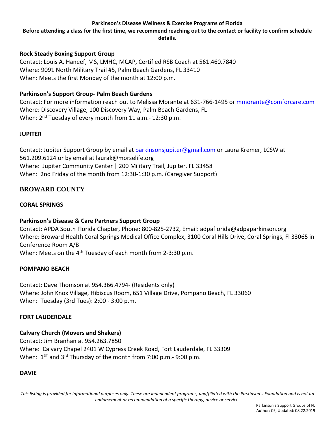**Before attending a class for the first time, we recommend reaching out to the contact or facility to confirm schedule details.**

### **Rock Steady Boxing Support Group**

Contact: Louis A. Haneef, MS, LMHC, MCAP, Certified RSB Coach at 561.460.7840 Where: 9091 North Military Trail #5, Palm Beach Gardens, FL 33410 When: Meets the first Monday of the month at 12:00 p.m.

## **Parkinson's Support Group- Palm Beach Gardens**

Contact: For more information reach out to Melissa Morante at 631-766-1495 or [mmorante@comforcare.com](mailto:mmorante@comforcare.com) Where: Discovery Village, 100 Discovery Way, Palm Beach Gardens, FL When: 2<sup>nd</sup> Tuesday of every month from 11 a.m.- 12:30 p.m.

#### **JUPITER**

Contact: Jupiter Support Group by email at [parkinsonsjupiter@gmail.com](mailto:parkinsonsjupiter@gmail.com) or Laura Kremer, LCSW at 561.209.6124 or by email at laurak@morselife.org Where: Jupiter Community Center | 200 Military Trail, Jupiter, FL 33458 When: 2nd Friday of the month from 12:30-1:30 p.m. (Caregiver Support)

## <span id="page-2-0"></span>**BROWARD COUNTY**

#### **CORAL SPRINGS**

### **Parkinson's Disease & Care Partners Support Group**

Contact: APDA South Florida Chapter, Phone: 800-825-2732, Email: adpaflorida@adpaparkinson.org Where: Broward Health Coral Springs Medical Office Complex, 3100 Coral Hills Drive, Coral Springs, Fl 33065 in Conference Room A/B

When: Meets on the 4<sup>th</sup> Tuesday of each month from 2-3:30 p.m.

#### **POMPANO BEACH**

Contact: Dave Thomson at 954.366.4794- (Residents only) Where: John Knox Village, Hibiscus Room, 651 Village Drive, Pompano Beach, FL 33060 When: Tuesday (3rd Tues): 2:00 - 3:00 p.m.

### **FORT LAUDERDALE**

### **Calvary Church (Movers and Shakers)**

Contact: Jim Branhan at 954.263.7850 Where: Calvary Chapel 2401 W Cypress Creek Road, Fort Lauderdale, FL 33309 When: 1<sup>st</sup> and 3<sup>rd</sup> Thursday of the month from 7:00 p.m.- 9:00 p.m.

### **DAVIE**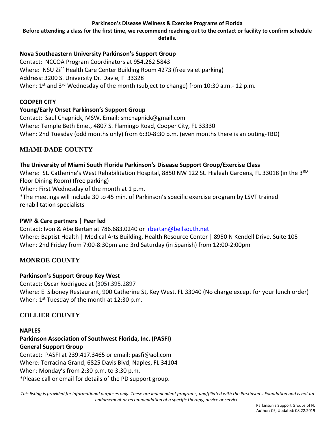**Before attending a class for the first time, we recommend reaching out to the contact or facility to confirm schedule details.**

## **Nova Southeastern University Parkinson's Support Group**

Contact: NCCOA Program Coordinators at 954.262.5843 Where: NSU Ziff Health Care Center Building Room 4273 (free valet parking) Address: 3200 S. University Dr. Davie, Fl 33328 When: 1<sup>st</sup> and 3<sup>rd</sup> Wednesday of the month (subject to change) from 10:30 a.m.- 12 p.m.

### **COOPER CITY**

## **Young/Early Onset Parkinson's Support Group**

Contact: Saul Chapnick, MSW, Email: smchapnick@gmail.com Where: Temple Beth Emet, 4807 S. Flamingo Road, Cooper City, FL 33330 When: 2nd Tuesday (odd months only) from 6:30-8:30 p.m. (even months there is an outing-TBD)

## <span id="page-3-1"></span>**MIAMI-DADE COUNTY**

### **The University of Miami South Florida Parkinson's Disease Support Group/Exercise Class**

Where: St. Catherine's West Rehabilitation Hospital, 8850 NW 122 St. Hialeah Gardens, FL 33018 (in the 3<sup>RD</sup> Floor Dining Room) (free parking)

When: First Wednesday of the month at 1 p.m.

\*The meetings will include 30 to 45 min. of Parkinson's specific exercise program by LSVT trained rehabilitation specialists

### <span id="page-3-2"></span>**PWP & Care partners | Peer led**

Contact: Ivon & Abe Bertan at 786.683.0240 or [irbertan@bellsouth.net](mailto:irbertan@bellsouth.net) Where: Baptist Health | Medical Arts Building, Health Resource Center | 8950 N Kendell Drive, Suite 105 When: 2nd Friday from 7:00-8:30pm and 3rd Saturday (in Spanish) from 12:00-2:00pm

## **MONROE COUNTY**

### **Parkinson's Support Group Key West**

Contact: Oscar Rodriguez at (305).395.2897 Where: El Siboney Restaurant, 900 Catherine St, Key West, FL 33040 (No charge except for your lunch order) When: 1<sup>st</sup> Tuesday of the month at 12:30 p.m.

## <span id="page-3-0"></span>**COLLIER COUNTY**

### **NAPLES**

**Parkinson Association of Southwest Florida, Inc. (PASFI) General Support Group** Contact: PASFI at 239.417.3465 or email: [pasfi@aol.com](mailto:pasfi@aol.com) Where: Terracina Grand, 6825 Davis Blvd, Naples, FL 34104 When: Monday's from 2:30 p.m. to 3:30 p.m. \*Please call or email for details of the PD support group.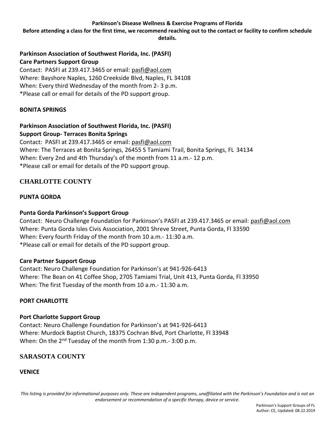**Before attending a class for the first time, we recommend reaching out to the contact or facility to confirm schedule details.**

## **Parkinson Association of Southwest Florida, Inc. (PASFI) Care Partners Support Group**

Contact: PASFI at 239.417.3465 or email: [pasfi@aol.com](mailto:pasfi@aol.com) Where: Bayshore Naples, 1260 Creekside Blvd, Naples, FL 34108 When: Every third Wednesday of the month from 2- 3 p.m. \*Please call or email for details of the PD support group.

## **BONITA SPRINGS**

# **Parkinson Association of Southwest Florida, Inc. (PASFI)**

**Support Group- Terraces Bonita Springs**

Contact: PASFI at 239.417.3465 or email: [pasfi@aol.com](mailto:pasfi@aol.com) Where: The Terraces at Bonita Springs, 26455 S Tamiami Trail, Bonita Springs, FL 34134 When: Every 2nd and 4th Thursday's of the month from 11 a.m.- 12 p.m. \*Please call or email for details of the PD support group.

# <span id="page-4-0"></span>**CHARLOTTE COUNTY**

## **PUNTA GORDA**

## **Punta Gorda Parkinson's Support Group**

Contact: Neuro Challenge Foundation for Parkinson's PASFI at 239.417.3465 or email: [pasfi@aol.com](mailto:pasfi@aol.com) Where: Punta Gorda Isles Civis Association, 2001 Shreve Street, Punta Gorda, Fl 33590 When: Every fourth Friday of the month from 10 a.m.- 11:30 a.m. \*Please call or email for details of the PD support group.

### **Care Partner Support Group**

Contact: Neuro Challenge Foundation for Parkinson's at 941-926-6413 Where: The Bean on 41 Coffee Shop, 2705 Tamiami Trial, Unit 413, Punta Gorda, Fl 33950 When: The first Tuesday of the month from 10 a.m.- 11:30 a.m.

### **PORT CHARLOTTE**

### **Port Charlotte Support Group**

Contact: Neuro Challenge Foundation for Parkinson's at 941-926-6413 Where: Murdock Baptist Church, 18375 Cochran Blvd, Port Charlotte, Fl 33948 When: On the 2<sup>nd</sup> Tuesday of the month from 1:30 p.m.- 3:00 p.m.

# <span id="page-4-1"></span>**SARASOTA COUNTY**

**VENICE**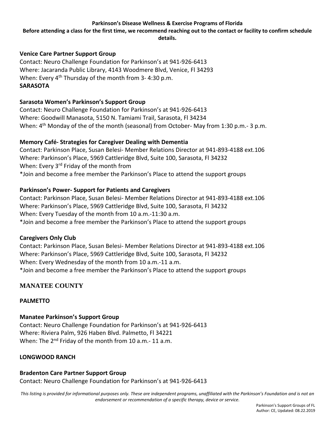**Before attending a class for the first time, we recommend reaching out to the contact or facility to confirm schedule details.**

### **Venice Care Partner Support Group**

Contact: Neuro Challenge Foundation for Parkinson's at 941-926-6413 Where: Jacaranda Public Library, 4143 Woodmere Blvd, Venice, Fl 34293 When: Every 4<sup>th</sup> Thursday of the month from 3-4:30 p.m. **SARASOTA**

#### **Sarasota Women's Parkinson's Support Group**

Contact: Neuro Challenge Foundation for Parkinson's at 941-926-6413 Where: Goodwill Manasota, 5150 N. Tamiami Trail, Sarasota, Fl 34234 When: 4<sup>th</sup> Monday of the of the month (seasonal) from October- May from 1:30 p.m.- 3 p.m.

#### **Memory Café- Strategies for Caregiver Dealing with Dementia**

Contact: Parkinson Place, Susan Belesi- Member Relations Director at 941-893-4188 ext.106 Where: Parkinson's Place, 5969 Cattleridge Blvd, Suite 100, Sarasota, Fl 34232 When: Every 3<sup>rd</sup> Friday of the month from \*Join and become a free member the Parkinson's Place to attend the support groups

#### **Parkinson's Power- Support for Patients and Caregivers**

Contact: Parkinson Place, Susan Belesi- Member Relations Director at 941-893-4188 ext.106 Where: Parkinson's Place, 5969 Cattleridge Blvd, Suite 100, Sarasota, Fl 34232 When: Every Tuesday of the month from 10 a.m.-11:30 a.m. \*Join and become a free member the Parkinson's Place to attend the support groups

### **Caregivers Only Club**

Contact: Parkinson Place, Susan Belesi- Member Relations Director at 941-893-4188 ext.106 Where: Parkinson's Place, 5969 Cattleridge Blvd, Suite 100, Sarasota, Fl 34232 When: Every Wednesday of the month from 10 a.m.-11 a.m. \*Join and become a free member the Parkinson's Place to attend the support groups

## <span id="page-5-0"></span>**MANATEE COUNTY**

### **PALMETTO**

### **Manatee Parkinson's Support Group**

Contact: Neuro Challenge Foundation for Parkinson's at 941-926-6413 Where: Riviera Palm, 926 Haben Blvd. Palmetto, Fl 34221 When: The 2<sup>nd</sup> Friday of the month from 10 a.m.- 11 a.m.

#### **LONGWOOD RANCH**

#### **Bradenton Care Partner Support Group**

Contact: Neuro Challenge Foundation for Parkinson's at 941-926-6413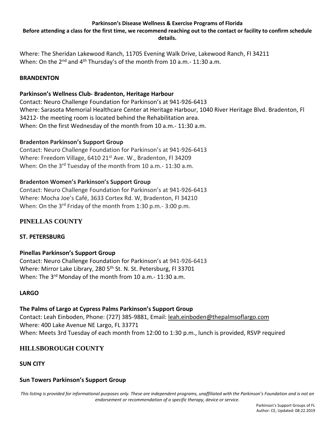**Before attending a class for the first time, we recommend reaching out to the contact or facility to confirm schedule details.**

Where: The Sheridan Lakewood Ranch, 11705 Evening Walk Drive, Lakewood Ranch, Fl 34211 When: On the 2<sup>nd</sup> and 4<sup>th</sup> Thursday's of the month from 10 a.m.- 11:30 a.m.

#### **BRANDENTON**

### **Parkinson's Wellness Club- Bradenton, Heritage Harbour**

Contact: Neuro Challenge Foundation for Parkinson's at 941-926-6413 Where: Sarasota Memorial Healthcare Center at Heritage Harbour, 1040 River Heritage Blvd. Bradenton, Fl 34212- the meeting room is located behind the Rehabilitation area. When: On the first Wednesday of the month from 10 a.m.- 11:30 a.m.

#### **Bradenton Parkinson's Support Group**

Contact: Neuro Challenge Foundation for Parkinson's at 941-926-6413 Where: Freedom Village, 6410 21<sup>st</sup> Ave. W., Bradenton, Fl 34209 When: On the 3<sup>rd</sup> Tuesday of the month from 10 a.m. - 11:30 a.m.

#### **Bradenton Women's Parkinson's Support Group**

Contact: Neuro Challenge Foundation for Parkinson's at 941-926-6413 Where: Mocha Joe's Café, 3633 Cortex Rd. W, Bradenton, Fl 34210 When: On the 3<sup>rd</sup> Friday of the month from 1:30 p.m. - 3:00 p.m.

## <span id="page-6-1"></span>**PINELLAS COUNTY**

### **ST. PETERSBURG**

### **Pinellas Parkinson's Support Group**

Contact: Neuro Challenge Foundation for Parkinson's at 941-926-6413 Where: Mirror Lake Library, 280 5<sup>th</sup> St. N. St. Petersburg, Fl 33701 When: The 3<sup>rd</sup> Monday of the month from 10 a.m.- 11:30 a.m.

#### **LARGO**

#### **The Palms of Largo at Cypress Palms Parkinson's Support Group**

Contact: Leah Einboden, Phone: (727) 385-9881, Email: [leah.einboden@thepalmsoflargo.com](mailto:leah.einboden@thepalmsoflargo.com) Where: 400 Lake Avenue NE Largo, FL 33771 When: Meets 3rd Tuesday of each month from 12:00 to 1:30 p.m., lunch is provided, RSVP required

### <span id="page-6-0"></span>**HILLSBOROUGH COUNTY**

### **SUN CITY**

### **Sun Towers Parkinson's Support Group**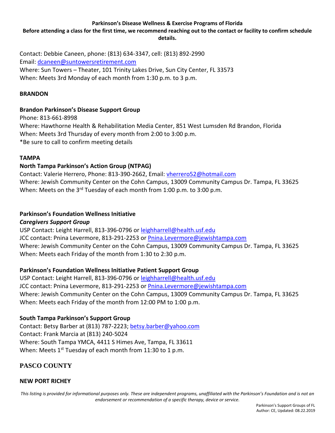**Before attending a class for the first time, we recommend reaching out to the contact or facility to confirm schedule details.**

Contact: Debbie Caneen, phone: (813) 634-3347, cell: (813) 892-2990 Email: [dcaneen@suntowersretirement.com](mailto:dcaneen@suntowersretirement.com) Where: Sun Towers – Theater, 101 Trinity Lakes Drive, Sun City Center, FL 33573 When: Meets 3rd Monday of each month from 1:30 p.m. to 3 p.m.

#### **BRANDON**

## **Brandon Parkinson's Disease Support Group**

Phone: 813-661-8998 Where: Hawthorne Health & Rehabilitation Media Center, 851 West Lumsden Rd Brandon, Florida When: Meets 3rd Thursday of every month from 2:00 to 3:00 p.m. \*Be sure to call to confirm meeting details

### **TAMPA**

## **North Tampa Parkinson's Action Group (NTPAG)**

Contact: Valerie Herrero, Phone: 813-390-2662, Email: [vherrero52@hotmail.com](mailto:vherrero52@hotmail.com)  Where: Jewish Community Center on the Cohn Campus, 13009 Community Campus Dr. Tampa, FL 33625 When: Meets on the 3<sup>rd</sup> Tuesday of each month from 1:00 p.m. to 3:00 p.m.

#### **Parkinson's Foundation Wellness Initiative**

### *Caregivers Support Group*

USP Contact: Leight Harrell, 813-396-0796 or [leighharrell@health.usf.edu](mailto:leighharrell@health.usf.edu) JCC contact: Pnina Levermore, 813-291-2253 or [Pnina.Levermore@jewishtampa.com](mailto:Pnina.Levermore@jewishtampa.com) Where: Jewish Community Center on the Cohn Campus, 13009 Community Campus Dr. Tampa, FL 33625 When: Meets each Friday of the month from 1:30 to 2:30 p.m.

### **Parkinson's Foundation Wellness Initiative Patient Support Group**

USP Contact: Leight Harrell, 813-396-0796 or [leighharrell@health.usf.edu](mailto:leighharrell@health.usf.edu) JCC contact: Pnina Levermore, 813-291-2253 or [Pnina.Levermore@jewishtampa.com](mailto:Pnina.Levermore@jewishtampa.com) Where: Jewish Community Center on the Cohn Campus, 13009 Community Campus Dr. Tampa, FL 33625 When: Meets each Friday of the month from 12:00 PM to 1:00 p.m.

### **South Tampa Parkinson's Support Group**

Contact: Betsy Barber at (813) 787-2223[; betsy.barber@yahoo.com](mailto:betsy.barber@yahoo.com) Contact: Frank Marcia at (813) 240-5024 Where: South Tampa YMCA, 4411 S Himes Ave, Tampa, FL 33611 When: Meets  $1^{st}$  Tuesday of each month from 11:30 to 1 p.m.

## <span id="page-7-0"></span>**PASCO COUNTY**

### **NEW PORT RICHEY**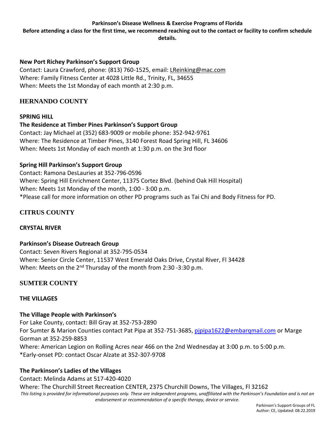**Before attending a class for the first time, we recommend reaching out to the contact or facility to confirm schedule details.**

## **New Port Richey Parkinson's Support Group**

Contact: Laura Crawford, phone: (813) 760-1525, email[: LReinking@mac.com](mailto:LReinking@mac.com) Where: Family Fitness Center at 4028 Little Rd., Trinity, FL, 34655 When: Meets the 1st Monday of each month at 2:30 p.m.

## <span id="page-8-1"></span>**HERNANDO COUNTY**

### **SPRING HILL**

**The Residence at Timber Pines Parkinson's Support Group** Contact: Jay Michael at (352) 683-9009 or mobile phone: 352-942-9761 Where: The Residence at Timber Pines, 3140 Forest Road Spring Hill, FL 34606 When: Meets 1st Monday of each month at 1:30 p.m. on the 3rd floor

## **Spring Hill Parkinson's Support Group**

Contact: Ramona DesLauries at 352-796-0596 Where: Spring Hill Enrichment Center, 11375 Cortez Blvd. (behind Oak Hill Hospital) When: Meets 1st Monday of the month, 1:00 - 3:00 p.m. \*Please call for more information on other PD programs such as Tai Chi and Body Fitness for PD.

# <span id="page-8-0"></span>**CITRUS COUNTY**

### **CRYSTAL RIVER**

### **Parkinson's Disease Outreach Group**

Contact: Seven Rivers Regional at 352-795-0534 Where: Senior Circle Center, 11537 West Emerald Oaks Drive, Crystal River, Fl 34428 When: Meets on the 2<sup>nd</sup> Thursday of the month from 2:30 -3:30 p.m.

## <span id="page-8-2"></span>**SUMTER COUNTY**

## **THE VILLAGES**

### **The Village People with Parkinson's**

For Lake County, contact: Bill Gray at 352-753-2890 For Sumter & Marion Counties contact Pat Pipa at 352-751-3685, pipipa1622@embarqmail.com or Marge Gorman at 352-259-8853 Where: American Legion on Rolling Acres near 466 on the 2nd Wednesday at 3:00 p.m. to 5:00 p.m. \*Early-onset PD: contact Oscar Alzate at 352-307-9708

## **The Parkinson's Ladies of the Villages**

This listing is provided for informational purposes only. These are independent programs, unaffiliated with the Parkinson's Foundation and is not an *endorsement or recommendation of a specific therapy, device or service.* Contact: Melinda Adams at 517-420-4020 Where: The Churchill Street Recreation CENTER, 2375 Churchill Downs, The Villages, Fl 32162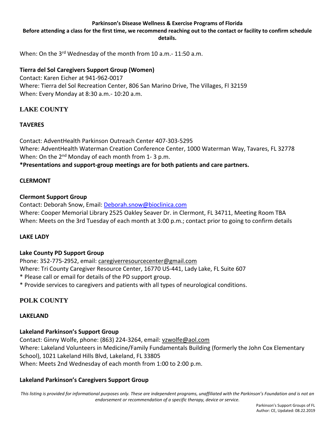**Before attending a class for the first time, we recommend reaching out to the contact or facility to confirm schedule details.**

When: On the 3<sup>rd</sup> Wednesday of the month from 10 a.m.- 11:50 a.m.

#### **Tierra del Sol Caregivers Support Group (Women)**

Contact: Karen Eicher at 941-962-0017 Where: Tierra del Sol Recreation Center, 806 San Marino Drive, The Villages, Fl 32159 When: Every Monday at 8:30 a.m.- 10:20 a.m.

## <span id="page-9-0"></span>**LAKE COUNTY**

### **TAVERES**

Contact: AdventHealth Parkinson Outreach Center 407-303-5295 Where: AdventHealth Waterman Creation Conference Center, 1000 Waterman Way, Tavares, FL 32778 When: On the 2<sup>nd</sup> Monday of each month from 1-3 p.m.

# **\*Presentations and support-group meetings are for both patients and care partners.**

#### **CLERMONT**

#### **Clermont Support Group**

Contact: Deborah Snow, Email: [Deborah.snow@bioclinica.com](mailto:Deborah.snow@bioclinica.com) Where: Cooper Memorial Library 2525 Oakley Seaver Dr. in Clermont, FL 34711, Meeting Room TBA When: Meets on the 3rd Tuesday of each month at 3:00 p.m.; contact prior to going to confirm details

#### **LAKE LADY**

### **Lake County PD Support Group**

Phone: 352-775-2952, email: [caregiverresourcecenter@gmail.com](mailto:caregiverresourcecenter@gmail.com) Where: Tri County Caregiver Resource Center, 16770 US-441, Lady Lake, FL Suite 607 \* Please call or email for details of the PD support group. \* Provide services to caregivers and patients with all types of neurological conditions.

## <span id="page-9-1"></span>**POLK COUNTY**

#### **LAKELAND**

### **Lakeland Parkinson's Support Group**

Contact: Ginny Wolfe, phone: (863) 224-3264, email: [vzwolfe@aol.com](mailto:vzwolfe@aol.com) Where: Lakeland Volunteers in Medicine/Family Fundamentals Building (formerly the John Cox Elementary School), 1021 Lakeland Hills Blvd, Lakeland, FL 33805 When: Meets 2nd Wednesday of each month from 1:00 to 2:00 p.m.

### **Lakeland Parkinson's Caregivers Support Group**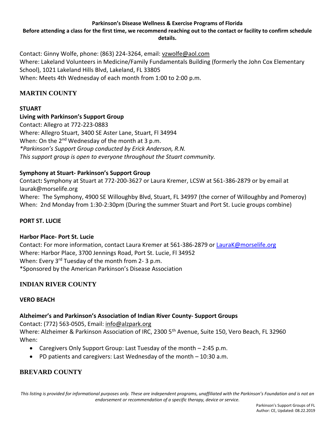**Before attending a class for the first time, we recommend reaching out to the contact or facility to confirm schedule details.**

Contact: Ginny Wolfe, phone: (863) 224-3264, email: [vzwolfe@aol.com](mailto:vzwolfe@aol.com) Where: Lakeland Volunteers in Medicine/Family Fundamentals Building (formerly the John Cox Elementary School), 1021 Lakeland Hills Blvd, Lakeland, FL 33805 When: Meets 4th Wednesday of each month from 1:00 to 2:00 p.m.

# <span id="page-10-2"></span>**MARTIN COUNTY**

## **STUART**

## **Living with Parkinson's Support Group**

Contact: Allegro at 772-223-0883 Where: Allegro Stuart, 3400 SE Aster Lane, Stuart, Fl 34994 When: On the 2<sup>nd</sup> Wednesday of the month at 3 p.m. *\*Parkinson's Support Group conducted by Erick Anderson, R.N. This support group is open to everyone throughout the Stuart community.*

## **Symphony at Stuart- Parkinson's Support Group**

Contact**:** Symphony at Stuart at 772-200-3627 or Laura Kremer, LCSW at 561-386-2879 or by email at laurak@morselife.org Where: The Symphony, 4900 SE Willoughby Blvd, Stuart, FL 34997 (the corner of Willoughby and Pomeroy) When: 2nd Monday from 1:30-2:30pm (During the summer Stuart and Port St. Lucie groups combine)

### **PORT ST. LUCIE**

### **Harbor Place- Port St. Lucie**

Contact: For more information, contact Laura Kremer at 561-386-2879 or [LauraK@morselife.org](mailto:LauraK@morselife.org) Where: Harbor Place, 3700 Jennings Road, Port St. Lucie, Fl 34952 When: Every 3<sup>rd</sup> Tuesday of the month from 2-3 p.m. \*Sponsored by the American Parkinson's Disease Association

## <span id="page-10-1"></span>**INDIAN RIVER COUNTY**

### **VERO BEACH**

### **Alzheimer's and Parkinson's Association of Indian River County- Support Groups**

Contact: (772) 563-0505, Email: [info@alzpark.org](mailto:info@alzpark.org)

Where: Alzheimer & Parkinson Association of IRC, 2300 5<sup>th</sup> Avenue, Suite 150, Vero Beach, FL 32960 When:

- Caregivers Only Support Group: Last Tuesday of the month 2:45 p.m.
- PD patients and caregivers: Last Wednesday of the month 10:30 a.m.

## <span id="page-10-0"></span>**BREVARD COUNTY**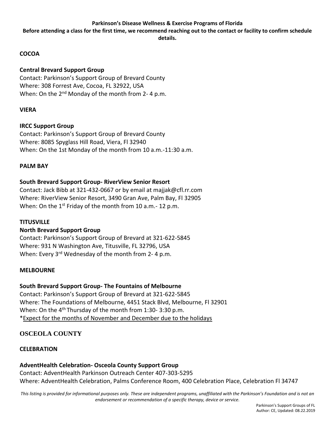**Before attending a class for the first time, we recommend reaching out to the contact or facility to confirm schedule details.**

## **COCOA**

## **Central Brevard Support Group**

Contact: Parkinson's Support Group of Brevard County Where: 308 Forrest Ave, Cocoa, FL 32922, USA When: On the 2<sup>nd</sup> Monday of the month from 2-4 p.m.

## **VIERA**

## **IRCC Support Group**

Contact: Parkinson's Support Group of Brevard County Where: 8085 Spyglass Hill Road, Viera, Fl 32940 When: On the 1st Monday of the month from 10 a.m.-11:30 a.m.

#### **PALM BAY**

## **South Brevard Support Group- RiverView Senior Resort**

Contact: Jack Bibb at 321-432-0667 or by email at majjak@cfl.rr.com Where: RiverView Senior Resort, 3490 Gran Ave, Palm Bay, Fl 32905 When: On the 1<sup>st</sup> Friday of the month from 10 a.m. - 12 p.m.

### **TITUSVILLE**

### **North Brevard Support Group**

Contact: Parkinson's Support Group of Brevard at 321-622-5845 Where: 931 N Washington Ave, Titusville, FL 32796, USA When: Every 3<sup>rd</sup> Wednesday of the month from 2-4 p.m.

#### **MELBOURNE**

### **South Brevard Support Group- The Fountains of Melbourne**

Contact: Parkinson's Support Group of Brevard at 321-622-5845 Where: The Foundations of Melbourne, 4451 Stack Blvd, Melbourne, Fl 32901 When: On the 4<sup>th</sup> Thursday of the month from 1:30-3:30 p.m. \*Expect for the months of November and December due to the holidays

## <span id="page-11-0"></span>**OSCEOLA COUNTY**

### **CELEBRATION**

**AdventHealth Celebration- Osceola County Support Group** Contact: AdventHealth Parkinson Outreach Center 407-303-5295 Where: AdventHealth Celebration, Palms Conference Room, 400 Celebration Place, Celebration Fl 34747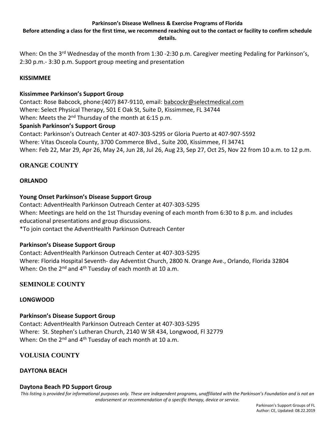**Before attending a class for the first time, we recommend reaching out to the contact or facility to confirm schedule details.**

When: On the 3<sup>rd</sup> Wednesday of the month from 1:30 -2:30 p.m. Caregiver meeting Pedaling for Parkinson's, 2:30 p.m.- 3:30 p.m. Support group meeting and presentation

## **KISSIMMEE**

## **Kissimmee Parkinson's Support Group**

Contact: Rose Babcock, phone:(407) 847-9110, email: [babcockr@selectmedical.com](mailto:babcockr@selectmedical.com) Where: Select Physical Therapy, 501 E Oak St, Suite D, Kissimmee, FL 34744 When: Meets the 2<sup>nd</sup> Thursday of the month at 6:15 p.m.

### **Spanish Parkinson's Support Group**

Contact: Parkinson's Outreach Center at 407-303-5295 or Gloria Puerto at 407-907-5592 Where: Vitas Osceola County, 3700 Commerce Blvd., Suite 200, Kissimmee, Fl 34741 When: Feb 22, Mar 29, Apr 26, May 24, Jun 28, Jul 26, Aug 23, Sep 27, Oct 25, Nov 22 from 10 a.m. to 12 p.m.

# <span id="page-12-0"></span>**ORANGE COUNTY**

## **ORLANDO**

## **Young Onset Parkinson's Disease Support Group**

Contact: AdventHealth Parkinson Outreach Center at 407-303-5295 When: Meetings are held on the 1st Thursday evening of each month from 6:30 to 8 p.m. and includes educational presentations and group discussions.

\*To join contact the AdventHealth Parkinson Outreach Center

### **Parkinson's Disease Support Group**

Contact: AdventHealth Parkinson Outreach Center at 407-303-5295 Where: Florida Hospital Seventh- day Adventist Church, 2800 N. Orange Ave., Orlando, Florida 32804 When: On the 2<sup>nd</sup> and 4<sup>th</sup> Tuesday of each month at 10 a.m.

## <span id="page-12-1"></span>**SEMINOLE COUNTY**

### **LONGWOOD**

### **Parkinson's Disease Support Group**

Contact: AdventHealth Parkinson Outreach Center at 407-303-5295 Where: St. Stephen's Lutheran Church, 2140 W SR 434, Longwood, Fl 32779 When: On the 2<sup>nd</sup> and 4<sup>th</sup> Tuesday of each month at 10 a.m.

## <span id="page-12-2"></span>**VOLUSIA COUNTY**

### **DAYTONA BEACH**

### **Daytona Beach PD Support Group**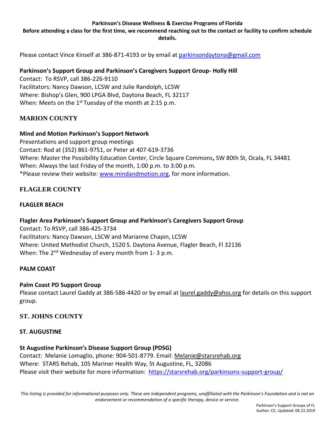**Before attending a class for the first time, we recommend reaching out to the contact or facility to confirm schedule details.**

Please contact Vince Kinself at 386-871-4193 or by email at [parkinsondaytona@gmail.com](mailto:parkinsondaytona@gmail.com)

## **Parkinson's Support Group and Parkinson's Caregivers Support Group- Holly Hill**

Contact: To RSVP, call 386-226-9110 Facilitators: Nancy Dawson, LCSW and Julie Randolph, LCSW Where: Bishop's Glen, 900 LPGA Blvd, Daytona Beach, FL 32117 When: Meets on the 1<sup>st</sup> Tuesday of the month at 2:15 p.m.

## <span id="page-13-1"></span>**MARION COUNTY**

### **Mind and Motion Parkinson's Support Network**

Presentations and support group meetings Contact: Rod at (352) 861-9751, or Peter at 407-619-3736 Where: Master the Possibility Education Center, Circle Square Commons**,** SW 80th St, Ocala, FL 34481 When: Always the last Friday of the month, 1:00 p.m. to 3:00 p.m. \*Please review their website: [www.mindandmotion.org,](http://www.mindandmotion.org/) for more information.

# <span id="page-13-0"></span>**FLAGLER COUNTY**

## **FLAGLER BEACH**

### **Flagler Area Parkinson's Support Group and Parkinson's Caregivers Support Group**

Contact: To RSVP, call 386-425-3734 Facilitators: Nancy Dawson, LSCW and Marianne Chapin, LCSW Where: United Methodist Church, 1520 S. Daytona Avenue, Flagler Beach, Fl 32136 When: The 2<sup>nd</sup> Wednesday of every month from 1-3 p.m.

### **PALM COAST**

### **Palm Coast PD Support Group**

Please contact Laurel Gaddy at 386-586-4420 or by email at [laurel.gaddy@ahss.org](mailto:laurel.gaddy@ahss.org) for details on this support group.

### <span id="page-13-2"></span>**ST. JOHNS COUNTY**

### **ST. AUGUSTINE**

**St Augustine Parkinson's Disease Support Group (PDSG)** Contact: Melanie Lomaglio, phone: 904-501-8779. Email: [Melanie@starsrehab.org](mailto:Melanie@starsrehab.org) Where: STARS Rehab, 105 Mariner Health Way, St Augustine, FL, 32086 Please visit their website for more information: <https://starsrehab.org/parkinsons-support-group/>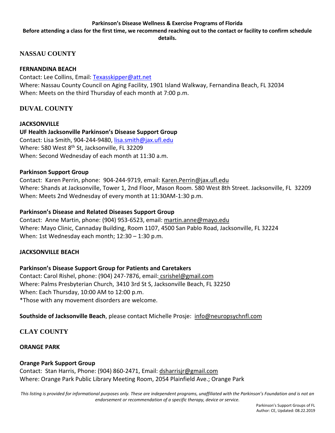**Before attending a class for the first time, we recommend reaching out to the contact or facility to confirm schedule details.**

## <span id="page-14-2"></span>**NASSAU COUNTY**

### **FERNANDINA BEACH**

Contact: Lee Collins, Email: [Texasskipper@att.net](mailto:Texasskipper@att.net) Where: Nassau County Council on Aging Facility, 1901 Island Walkway, Fernandina Beach, FL 32034 When: Meets on the third Thursday of each month at 7:00 p.m.

## <span id="page-14-1"></span>**DUVAL COUNTY**

**JACKSONVILLE UF Health Jacksonville Parkinson's Disease Support Group** Contact: Lisa Smith, 904-244-9480, [lisa.smith@jax.ufl.edu](mailto:lisa.smith@jax.ufl.edu) Where: 580 West 8<sup>th</sup> St, Jacksonville, FL 32209 When: Second Wednesday of each month at 11:30 a.m.

#### **Parkinson Support Group**

Contact: Karen Perrin, phone: 904-244-9719, email: [Karen.Perrin@jax.ufl.edu](mailto:Karen.Perrin@jax.ufl.edu) Where: Shands at Jacksonville, Tower 1, 2nd Floor, Mason Room. 580 West 8th Street. Jacksonville, FL 32209 When: Meets 2nd Wednesday of every month at 11:30AM-1:30 p.m.

#### **Parkinson's Disease and Related Diseases Support Group**

Contact: Anne Martin, phone: (904) 953-6523, email: [martin.anne@mayo.edu](mailto:martin.anne@mayo.edu) Where: Mayo Clinic, Cannaday Building, Room 1107, 4500 San Pablo Road, Jacksonville, FL 32224 When: 1st Wednesday each month; 12:30 – 1:30 p.m.

### **JACKSONVILLE BEACH**

**Parkinson's Disease Support Group for Patients and Caretakers**

Contact: Carol Rishel, phone: (904) 247-7876, email: [csrishel@gmail.com](mailto:csrishel@gmail.com) Where: Palms Presbyterian Church, 3410 3rd St S, Jacksonville Beach, FL 32250 When: Each Thursday, 10:00 AM to 12:00 p.m. \*Those with any movement disorders are welcome.

<span id="page-14-0"></span>**Southside of Jacksonville Beach**, please contact Michelle Prosje: [info@neuropsychnfl.com](mailto:info@neuropsychnfl.com)

## **CLAY COUNTY**

### **ORANGE PARK**

### **Orange Park Support Group**

Contact: Stan Harris, Phone: (904) 860-2471, Email: [dsharrisjr@gmail.com](mailto:dsharrisjr@gmail.com) Where: Orange Park Public Library Meeting Room, 2054 Plainfield Ave.; Orange Park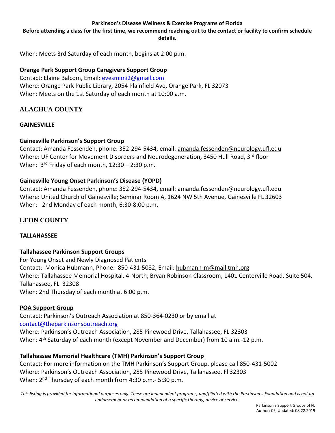**Before attending a class for the first time, we recommend reaching out to the contact or facility to confirm schedule details.**

When: Meets 3rd Saturday of each month, begins at 2:00 p.m.

#### **Orange Park Support Group Caregivers Support Group**

Contact: Elaine Balcom, Email: [evesmimi2@gmail.com](mailto:evesmimi2@gmail.com) Where: Orange Park Public Library, 2054 Plainfield Ave, Orange Park, FL 32073 When: Meets on the 1st Saturday of each month at 10:00 a.m.

## <span id="page-15-0"></span>**[ALACHUA COUNTY](#page-0-0)**

#### **GAINESVILLE**

### **Gainesville Parkinson's Support Group**

Contact: Amanda Fessenden, phone: 352-294-5434, email: [amanda.fessenden@neurology.ufl.edu](mailto:amanda.fessenden@neurology.ufl.edu) Where: UF Center for Movement Disorders and Neurodegeneration, 3450 Hull Road, 3rd floor When: 3<sup>rd</sup> Friday of each month, 12:30 - 2:30 p.m.

#### **Gainesville Young Onset Parkinson's Disease (YOPD)**

Contact: Amanda Fessenden, phone: 352-294-5434, email: [amanda.fessenden@neurology.ufl.edu](mailto:amanda.fessenden@neurology.ufl.edu) Where: United Church of Gainesville; Seminar Room A, 1624 NW 5th Avenue, Gainesville FL 32603 When: 2nd Monday of each month, 6:30-8:00 p.m.

### <span id="page-15-1"></span>**LEON COUNTY**

### **TALLAHASSEE**

#### **Tallahassee Parkinson Support Groups**

For Young Onset and Newly Diagnosed Patients Contact: Monica Hubmann, Phone: 850-431-5082, Email[: hubmann-m@mail.tmh.org](mailto:hubmann-m@mail.tmh.org) Where: Tallahassee Memorial Hospital, 4-North, Bryan Robinson Classroom, 1401 Centerville Road, Suite 504, Tallahassee, FL 32308 When: 2nd Thursday of each month at 6:00 p.m.

### **POA Support Group**

Contact: Parkinson's Outreach Association at 850-364-0230 or by email at [contact@theparkinsonsoutreach.org](mailto:contact@theparkinsonsoutreach.org) Where: Parkinson's Outreach Association, 285 Pinewood Drive, Tallahassee, FL 32303 When: 4<sup>th</sup> Saturday of each month (except November and December) from 10 a.m.-12 p.m.

### **Tallahassee Memorial Healthcare (TMH) Parkinson's Support Group**

Contact: For more information on the TMH Parkinson's Support Group, please call 850-431-5002 Where: Parkinson's Outreach Association, 285 Pinewood Drive, Tallahassee, Fl 32303 When: 2<sup>nd</sup> Thursday of each month from 4:30 p.m.- 5:30 p.m.